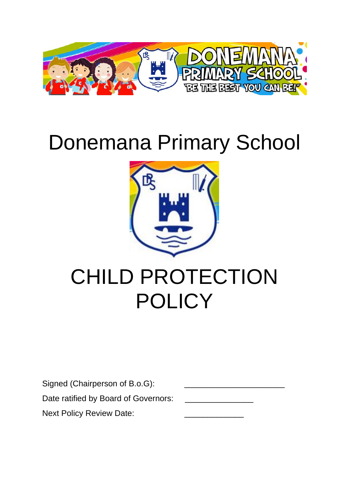

# Donemana Primary School



# CHILD PROTECTION **POLICY**

| Signed (Chairperson of B.o.G):       |  |
|--------------------------------------|--|
| Date ratified by Board of Governors: |  |
| <b>Next Policy Review Date:</b>      |  |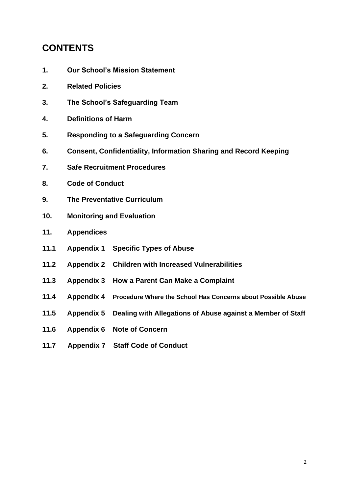# **CONTENTS**

- **1. Our School's Mission Statement**
- **2. Related Policies**
- **3. The School's Safeguarding Team**
- **4. Definitions of Harm**
- **5. Responding to a Safeguarding Concern**
- **6. Consent, Confidentiality, Information Sharing and Record Keeping**
- **7. Safe Recruitment Procedures**
- **8. Code of Conduct**
- **9. The Preventative Curriculum**
- **10. Monitoring and Evaluation**
- **11. Appendices**
- **11.1 Appendix 1 Specific Types of Abuse**
- **11.2 Appendix 2 Children with Increased Vulnerabilities**
- **11.3 Appendix 3 How a Parent Can Make a Complaint**
- **11.4 Appendix 4 Procedure Where the School Has Concerns about Possible Abuse**
- **11.5 Appendix 5 Dealing with Allegations of Abuse against a Member of Staff**
- **11.6 Appendix 6 Note of Concern**
- **11.7 Appendix 7 Staff Code of Conduct**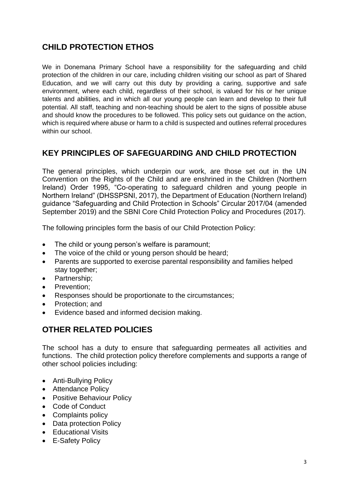# **CHILD PROTECTION ETHOS**

We in Donemana Primary School have a responsibility for the safeguarding and child protection of the children in our care, including children visiting our school as part of Shared Education, and we will carry out this duty by providing a caring, supportive and safe environment, where each child, regardless of their school, is valued for his or her unique talents and abilities, and in which all our young people can learn and develop to their full potential. All staff, teaching and non-teaching should be alert to the signs of possible abuse and should know the procedures to be followed. This policy sets out guidance on the action, which is required where abuse or harm to a child is suspected and outlines referral procedures within our school.

# **KEY PRINCIPLES OF SAFEGUARDING AND CHILD PROTECTION**

The general principles, which underpin our work, are those set out in the UN Convention on the Rights of the Child and are enshrined in the Children (Northern Ireland) Order 1995, "Co-operating to safeguard children and young people in Northern Ireland" (DHSSPSNI, 2017), the Department of Education (Northern Ireland) guidance "Safeguarding and Child Protection in Schools" Circular 2017/04 (amended September 2019) and the SBNI Core Child Protection Policy and Procedures (2017).

The following principles form the basis of our Child Protection Policy:

- The child or young person's welfare is paramount;
- The voice of the child or young person should be heard;
- Parents are supported to exercise parental responsibility and families helped stay together;
- Partnership;
- Prevention:
- Responses should be proportionate to the circumstances;
- Protection; and
- Evidence based and informed decision making.

# **OTHER RELATED POLICIES**

The school has a duty to ensure that safeguarding permeates all activities and functions. The child protection policy therefore complements and supports a range of other school policies including:

- Anti-Bullying Policy
- Attendance Policy
- Positive Behaviour Policy
- Code of Conduct
- Complaints policy
- Data protection Policy
- Educational Visits
- E-Safety Policy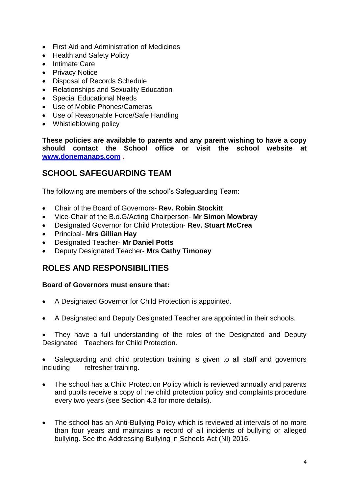- First Aid and Administration of Medicines
- Health and Safety Policy
- Intimate Care
- Privacy Notice
- Disposal of Records Schedule
- Relationships and Sexuality Education
- Special Educational Needs
- Use of Mobile Phones/Cameras
- Use of Reasonable Force/Safe Handling
- Whistleblowing policy

**These policies are available to parents and any parent wishing to have a copy should contact the School office or visit the school website at [www.donemanaps.com](http://www.donemanaps.com/) .**

# **SCHOOL SAFEGUARDING TEAM**

The following are members of the school's Safeguarding Team:

- Chair of the Board of Governors- **Rev. Robin Stockitt**
- Vice-Chair of the B.o.G/Acting Chairperson- **Mr Simon Mowbray**
- Designated Governor for Child Protection- **Rev. Stuart McCrea**
- Principal- **Mrs Gillian Hay**
- Designated Teacher- **Mr Daniel Potts**
- Deputy Designated Teacher- **Mrs Cathy Timoney**

# **ROLES AND RESPONSIBILITIES**

#### **Board of Governors must ensure that:**

- A Designated Governor for Child Protection is appointed.
- A Designated and Deputy Designated Teacher are appointed in their schools.

 They have a full understanding of the roles of the Designated and Deputy Designated Teachers for Child Protection.

 Safeguarding and child protection training is given to all staff and governors including refresher training.

- The school has a Child Protection Policy which is reviewed annually and parents and pupils receive a copy of the child protection policy and complaints procedure every two years (see Section 4.3 for more details).
- The school has an Anti-Bullying Policy which is reviewed at intervals of no more than four years and maintains a record of all incidents of bullying or alleged bullying. See the Addressing Bullying in Schools Act (NI) 2016.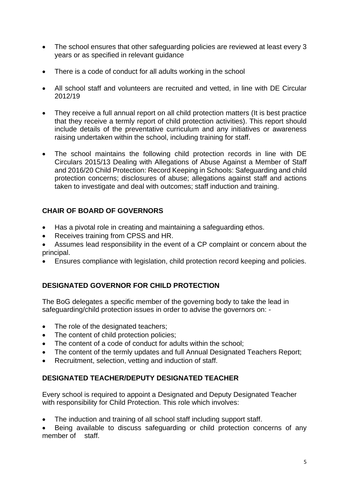- The school ensures that other safeguarding policies are reviewed at least every 3 years or as specified in relevant guidance
- There is a code of conduct for all adults working in the school
- All school staff and volunteers are recruited and vetted, in line with DE Circular 2012/19
- They receive a full annual report on all child protection matters (It is best practice that they receive a termly report of child protection activities). This report should include details of the preventative curriculum and any initiatives or awareness raising undertaken within the school, including training for staff.
- The school maintains the following child protection records in line with DE Circulars 2015/13 Dealing with Allegations of Abuse Against a Member of Staff and 2016/20 Child Protection: Record Keeping in Schools: Safeguarding and child protection concerns; disclosures of abuse; allegations against staff and actions taken to investigate and deal with outcomes; staff induction and training.

# **CHAIR OF BOARD OF GOVERNORS**

- Has a pivotal role in creating and maintaining a safeguarding ethos.
- Receives training from CPSS and HR.

 Assumes lead responsibility in the event of a CP complaint or concern about the principal.

Ensures compliance with legislation, child protection record keeping and policies.

# **DESIGNATED GOVERNOR FOR CHILD PROTECTION**

The BoG delegates a specific member of the governing body to take the lead in safeguarding/child protection issues in order to advise the governors on: -

- The role of the designated teachers;
- The content of child protection policies;
- The content of a code of conduct for adults within the school;
- The content of the termly updates and full Annual Designated Teachers Report;
- Recruitment, selection, vetting and induction of staff.

#### **DESIGNATED TEACHER/DEPUTY DESIGNATED TEACHER**

Every school is required to appoint a Designated and Deputy Designated Teacher with responsibility for Child Protection. This role which involves:

The induction and training of all school staff including support staff.

 Being available to discuss safeguarding or child protection concerns of any member of staff.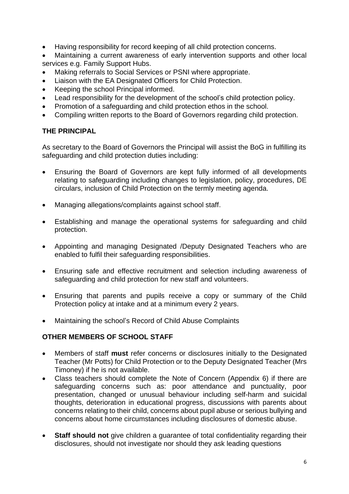- Having responsibility for record keeping of all child protection concerns.
- Maintaining a current awareness of early intervention supports and other local services e.g. Family Support Hubs.
- Making referrals to Social Services or PSNI where appropriate.
- Liaison with the EA Designated Officers for Child Protection.
- Keeping the school Principal informed.
- Lead responsibility for the development of the school's child protection policy.
- Promotion of a safeguarding and child protection ethos in the school.
- Compiling written reports to the Board of Governors regarding child protection.

## **THE PRINCIPAL**

As secretary to the Board of Governors the Principal will assist the BoG in fulfilling its safeguarding and child protection duties including:

- Ensuring the Board of Governors are kept fully informed of all developments relating to safeguarding including changes to legislation, policy, procedures, DE circulars, inclusion of Child Protection on the termly meeting agenda.
- Managing allegations/complaints against school staff.
- Establishing and manage the operational systems for safeguarding and child protection.
- Appointing and managing Designated /Deputy Designated Teachers who are enabled to fulfil their safeguarding responsibilities.
- Ensuring safe and effective recruitment and selection including awareness of safeguarding and child protection for new staff and volunteers.
- Ensuring that parents and pupils receive a copy or summary of the Child Protection policy at intake and at a minimum every 2 years.
- Maintaining the school's Record of Child Abuse Complaints

#### **OTHER MEMBERS OF SCHOOL STAFF**

- Members of staff **must** refer concerns or disclosures initially to the Designated Teacher (Mr Potts) for Child Protection or to the Deputy Designated Teacher (Mrs Timoney) if he is not available.
- Class teachers should complete the Note of Concern (Appendix 6) if there are safeguarding concerns such as: poor attendance and punctuality, poor presentation, changed or unusual behaviour including self-harm and suicidal thoughts, deterioration in educational progress, discussions with parents about concerns relating to their child, concerns about pupil abuse or serious bullying and concerns about home circumstances including disclosures of domestic abuse.
- **Staff should not** give children a guarantee of total confidentiality regarding their disclosures, should not investigate nor should they ask leading questions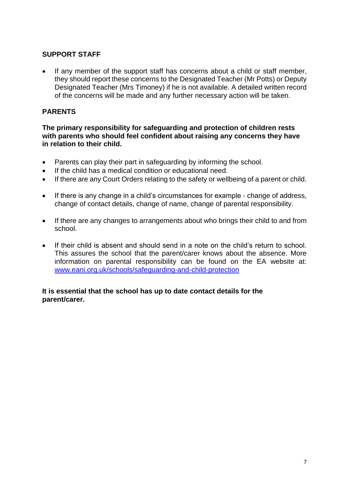#### **SUPPORT STAFF**

 If any member of the support staff has concerns about a child or staff member, they should report these concerns to the Designated Teacher (Mr Potts) or Deputy Designated Teacher (Mrs Timoney) if he is not available. A detailed written record of the concerns will be made and any further necessary action will be taken.

#### **PARENTS**

**The primary responsibility for safeguarding and protection of children rests with parents who should feel confident about raising any concerns they have in relation to their child.**

- Parents can play their part in safeguarding by informing the school.
- If the child has a medical condition or educational need.
- If there are any Court Orders relating to the safety or wellbeing of a parent or child.
- If there is any change in a child's circumstances for example change of address, change of contact details, change of name, change of parental responsibility.
- If there are any changes to arrangements about who brings their child to and from school.
- If their child is absent and should send in a note on the child's return to school. This assures the school that the parent/carer knows about the absence. More information on parental responsibility can be found on the EA website at: [www.eani.org.uk/schools/safeguarding-and-child-protection](http://www.eani.org.uk/schools/safeguarding-and-child-protection)

#### **It is essential that the school has up to date contact details for the parent/carer.**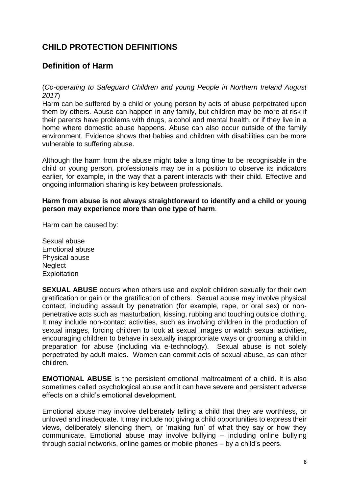# **CHILD PROTECTION DEFINITIONS**

# **Definition of Harm**

#### (*Co-operating to Safeguard Children and young People in Northern Ireland August 2017*)

Harm can be suffered by a child or young person by acts of abuse perpetrated upon them by others. Abuse can happen in any family, but children may be more at risk if their parents have problems with drugs, alcohol and mental health, or if they live in a home where domestic abuse happens. Abuse can also occur outside of the family environment. Evidence shows that babies and children with disabilities can be more vulnerable to suffering abuse.

Although the harm from the abuse might take a long time to be recognisable in the child or young person, professionals may be in a position to observe its indicators earlier, for example, in the way that a parent interacts with their child. Effective and ongoing information sharing is key between professionals.

#### **Harm from abuse is not always straightforward to identify and a child or young person may experience more than one type of harm**.

Harm can be caused by:

Sexual abuse Emotional abuse Physical abuse **Neglect Exploitation** 

**SEXUAL ABUSE** occurs when others use and exploit children sexually for their own gratification or gain or the gratification of others. Sexual abuse may involve physical contact, including assault by penetration (for example, rape, or oral sex) or nonpenetrative acts such as masturbation, kissing, rubbing and touching outside clothing. It may include non-contact activities, such as involving children in the production of sexual images, forcing children to look at sexual images or watch sexual activities, encouraging children to behave in sexually inappropriate ways or grooming a child in preparation for abuse (including via e-technology). Sexual abuse is not solely perpetrated by adult males. Women can commit acts of sexual abuse, as can other children.

**EMOTIONAL ABUSE** is the persistent emotional maltreatment of a child. It is also sometimes called psychological abuse and it can have severe and persistent adverse effects on a child's emotional development.

Emotional abuse may involve deliberately telling a child that they are worthless, or unloved and inadequate. It may include not giving a child opportunities to express their views, deliberately silencing them, or 'making fun' of what they say or how they communicate. Emotional abuse may involve bullying – including online bullying through social networks, online games or mobile phones – by a child's peers.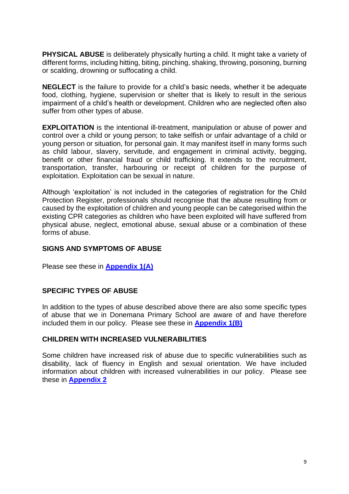**PHYSICAL ABUSE** is deliberately physically hurting a child. It might take a variety of different forms, including hitting, biting, pinching, shaking, throwing, poisoning, burning or scalding, drowning or suffocating a child.

**NEGLECT** is the failure to provide for a child's basic needs, whether it be adequate food, clothing, hygiene, supervision or shelter that is likely to result in the serious impairment of a child's health or development. Children who are neglected often also suffer from other types of abuse.

**EXPLOITATION** is the intentional ill-treatment, manipulation or abuse of power and control over a child or young person; to take selfish or unfair advantage of a child or young person or situation, for personal gain. It may manifest itself in many forms such as child labour, slavery, servitude, and engagement in criminal activity, begging, benefit or other financial fraud or child trafficking. It extends to the recruitment, transportation, transfer, harbouring or receipt of children for the purpose of exploitation. Exploitation can be sexual in nature.

Although 'exploitation' is not included in the categories of registration for the Child Protection Register, professionals should recognise that the abuse resulting from or caused by the exploitation of children and young people can be categorised within the existing CPR categories as children who have been exploited will have suffered from physical abuse, neglect, emotional abuse, sexual abuse or a combination of these forms of abuse.

#### **SIGNS AND SYMPTOMS OF ABUSE**

Please see these in **[Appendix 1\(](#page-12-0)A)**

#### **SPECIFIC TYPES OF ABUSE**

In addition to the types of abuse described above there are also some specific types of abuse that we in Donemana Primary School are aware of and have therefore included them in our policy. Please see these in **[Appendix 1\(](#page-12-0)B)**

#### **CHILDREN WITH INCREASED VULNERABILITIES**

Some children have increased risk of abuse due to specific vulnerabilities such as disability, lack of fluency in English and sexual orientation. We have included information about children with increased vulnerabilities in our policy. Please see these in **[Appendix 2](#page-18-0)**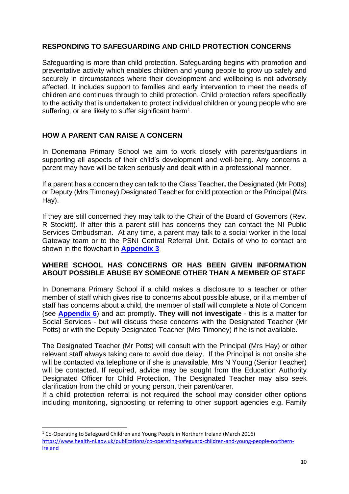### **RESPONDING TO SAFEGUARDING AND CHILD PROTECTION CONCERNS**

Safeguarding is more than child protection. Safeguarding begins with promotion and preventative activity which enables children and young people to grow up safely and securely in circumstances where their development and wellbeing is not adversely affected. It includes support to families and early intervention to meet the needs of children and continues through to child protection. Child protection refers specifically to the activity that is undertaken to protect individual children or young people who are suffering, or are likely to suffer significant harm<sup>1</sup>.

## **HOW A PARENT CAN RAISE A CONCERN**

In Donemana Primary School we aim to work closely with parents/guardians in supporting all aspects of their child's development and well-being. Any concerns a parent may have will be taken seriously and dealt with in a professional manner.

If a parent has a concern they can talk to the Class Teacher**,** the Designated (Mr Potts) or Deputy (Mrs Timoney) Designated Teacher for child protection or the Principal (Mrs Hay).

If they are still concerned they may talk to the Chair of the Board of Governors (Rev. R Stockitt). If after this a parent still has concerns they can contact the NI Public Services Ombudsman. At any time, a parent may talk to a social worker in the local Gateway team or to the PSNI Central Referral Unit. Details of who to contact are shown in the flowchart in **[Appendix 3](#page-21-0)**

#### **WHERE SCHOOL HAS CONCERNS OR HAS BEEN GIVEN INFORMATION ABOUT POSSIBLE ABUSE BY SOMEONE OTHER THAN A MEMBER OF STAFF**

In Donemana Primary School if a child makes a disclosure to a teacher or other member of staff which gives rise to concerns about possible abuse, or if a member of staff has concerns about a child, the member of staff will complete a Note of Concern (see **[Appendix 6](#page-25-0)**) and act promptly. **They will not investigate** - this is a matter for Social Services - but will discuss these concerns with the Designated Teacher (Mr Potts) or with the Deputy Designated Teacher (Mrs Timoney) if he is not available.

The Designated Teacher (Mr Potts) will consult with the Principal (Mrs Hay) or other relevant staff always taking care to avoid due delay. If the Principal is not onsite she will be contacted via telephone or if she is unavailable, Mrs N Young (Senior Teacher) will be contacted. If required, advice may be sought from the Education Authority Designated Officer for Child Protection. The Designated Teacher may also seek clarification from the child or young person, their parent/carer.

If a child protection referral is not required the school may consider other options including monitoring, signposting or referring to other support agencies e.g. Family

**.** 

<sup>1</sup> Co-Operating to Safeguard Children and Young People in Northern Ireland (March 2016) [https://www.health-ni.gov.uk/publications/co-operating-safeguard-children-and-young-people-northern](https://www.health-ni.gov.uk/publications/co-operating-safeguard-children-and-young-people-northern-ireland)[ireland](https://www.health-ni.gov.uk/publications/co-operating-safeguard-children-and-young-people-northern-ireland)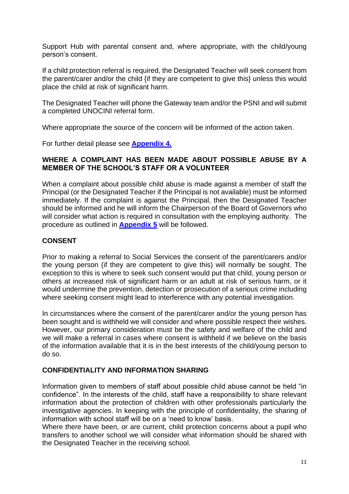Support Hub with parental consent and, where appropriate, with the child/young person's consent.

If a child protection referral is required, the Designated Teacher will seek consent from the parent/carer and/or the child {if they are competent to give this} unless this would place the child at risk of significant harm.

The Designated Teacher will phone the Gateway team and/or the PSNI and will submit a completed UNOCINI referral form.

Where appropriate the source of the concern will be informed of the action taken.

For further detail please see **[Appendix 4.](#page-23-0)**

#### **WHERE A COMPLAINT HAS BEEN MADE ABOUT POSSIBLE ABUSE BY A MEMBER OF THE SCHOOL'S STAFF OR A VOLUNTEER**

When a complaint about possible child abuse is made against a member of staff the Principal (or the Designated Teacher if the Principal is not available) must be informed immediately. If the complaint is against the Principal, then the Designated Teacher should be informed and he will inform the Chairperson of the Board of Governors who will consider what action is required in consultation with the employing authority. The procedure as outlined in **[Appendix 5](#page-24-0)** will be followed.

#### **CONSENT**

Prior to making a referral to Social Services the consent of the parent/carers and/or the young person (if they are competent to give this) will normally be sought. The exception to this is where to seek such consent would put that child, young person or others at increased risk of significant harm or an adult at risk of serious harm, or it would undermine the prevention, detection or prosecution of a serious crime including where seeking consent might lead to interference with any potential investigation.

In circumstances where the consent of the parent/carer and/or the young person has been sought and is withheld we will consider and where possible respect their wishes. However, our primary consideration must be the safety and welfare of the child and we will make a referral in cases where consent is withheld if we believe on the basis of the information available that it is in the best interests of the child/young person to do so.

#### **CONFIDENTIALITY AND INFORMATION SHARING**

Information given to members of staff about possible child abuse cannot be held "in confidence". In the interests of the child, staff have a responsibility to share relevant information about the protection of children with other professionals particularly the investigative agencies. In keeping with the principle of confidentiality, the sharing of information with school staff will be on a 'need to know' basis.

Where there have been, or are current, child protection concerns about a pupil who transfers to another school we will consider what information should be shared with the Designated Teacher in the receiving school.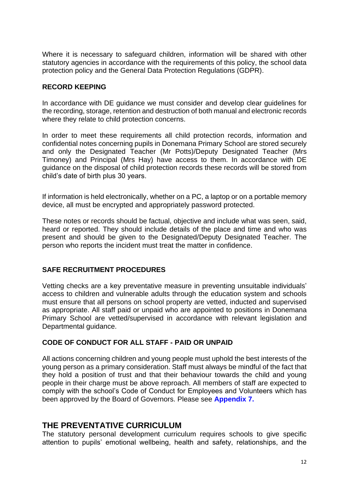Where it is necessary to safeguard children, information will be shared with other statutory agencies in accordance with the requirements of this policy, the school data protection policy and the General Data Protection Regulations (GDPR).

#### **RECORD KEEPING**

In accordance with DE guidance we must consider and develop clear guidelines for the recording, storage, retention and destruction of both manual and electronic records where they relate to child protection concerns.

In order to meet these requirements all child protection records, information and confidential notes concerning pupils in Donemana Primary School are stored securely and only the Designated Teacher (Mr Potts)/Deputy Designated Teacher (Mrs Timoney) and Principal (Mrs Hay) have access to them. In accordance with DE guidance on the disposal of child protection records these records will be stored from child's date of birth plus 30 years.

If information is held electronically, whether on a PC, a laptop or on a portable memory device, all must be encrypted and appropriately password protected.

These notes or records should be factual, objective and include what was seen, said, heard or reported. They should include details of the place and time and who was present and should be given to the Designated/Deputy Designated Teacher. The person who reports the incident must treat the matter in confidence.

#### **SAFE RECRUITMENT PROCEDURES**

Vetting checks are a key preventative measure in preventing unsuitable individuals' access to children and vulnerable adults through the education system and schools must ensure that all persons on school property are vetted, inducted and supervised as appropriate. All staff paid or unpaid who are appointed to positions in Donemana Primary School are vetted/supervised in accordance with relevant legislation and Departmental guidance.

#### **CODE OF CONDUCT FOR ALL STAFF - PAID OR UNPAID**

All actions concerning children and young people must uphold the best interests of the young person as a primary consideration. Staff must always be mindful of the fact that they hold a position of trust and that their behaviour towards the child and young people in their charge must be above reproach. All members of staff are expected to comply with the school's Code of Conduct for Employees and Volunteers which has been approved by the Board of Governors. Please see **Appendix 7.**

#### **THE PREVENTATIVE CURRICULUM**

The statutory personal development curriculum requires schools to give specific attention to pupils' emotional wellbeing, health and safety, relationships, and the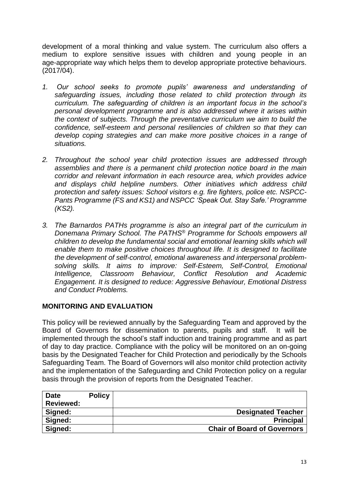development of a moral thinking and value system. The curriculum also offers a medium to explore sensitive issues with children and young people in an age-appropriate way which helps them to develop appropriate protective behaviours. (2017/04).

- *1. Our school seeks to promote pupils' awareness and understanding of safeguarding issues, including those related to child protection through its curriculum. The safeguarding of children is an important focus in the school's personal development programme and is also addressed where it arises within the context of subjects. Through the preventative curriculum we aim to build the confidence, self-esteem and personal resiliencies of children so that they can develop coping strategies and can make more positive choices in a range of situations.*
- *2. Throughout the school year child protection issues are addressed through assemblies and there is a permanent child protection notice board in the main corridor and relevant information in each resource area, which provides advice and displays child helpline numbers. Other initiatives which address child protection and safety issues: School visitors e.g. fire fighters, police etc. NSPCC-Pants Programme (FS and KS1) and NSPCC 'Speak Out. Stay Safe.' Programme (KS2).*
- *3. The Barnardos PATHs programme is also an integral part of the curriculum in Donemana Primary School. The PATHS® Programme for Schools empowers all children to develop the fundamental social and emotional learning skills which will enable them to make positive choices throughout life. It is designed to facilitate the development of self-control, emotional awareness and interpersonal problemsolving skills. It aims to improve: Self-Esteem, Self-Control, Emotional Intelligence, Classroom Behaviour, Conflict Resolution and Academic Engagement. It is designed to reduce: Aggressive Behaviour, Emotional Distress and Conduct Problems.*

#### **MONITORING AND EVALUATION**

This policy will be reviewed annually by the Safeguarding Team and approved by the Board of Governors for dissemination to parents, pupils and staff. It will be implemented through the school's staff induction and training programme and as part of day to day practice. Compliance with the policy will be monitored on an on-going basis by the Designated Teacher for Child Protection and periodically by the Schools Safeguarding Team. The Board of Governors will also monitor child protection activity and the implementation of the Safeguarding and Child Protection policy on a regular basis through the provision of reports from the Designated Teacher.

<span id="page-12-0"></span>

| <b>Date</b>      | <b>Policy</b> |                                    |
|------------------|---------------|------------------------------------|
| <b>Reviewed:</b> |               |                                    |
| Signed:          |               | <b>Designated Teacher</b>          |
| Signed:          |               | <b>Principal</b>                   |
| Signed:          |               | <b>Chair of Board of Governors</b> |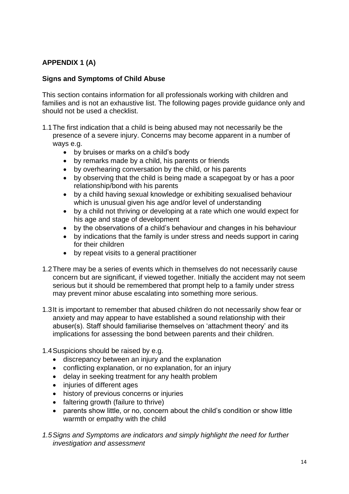# **APPENDIX 1 (A)**

#### **Signs and Symptoms of Child Abuse**

This section contains information for all professionals working with children and families and is not an exhaustive list. The following pages provide guidance only and should not be used a checklist.

- 1.1The first indication that a child is being abused may not necessarily be the presence of a severe injury. Concerns may become apparent in a number of ways e.g.
	- by bruises or marks on a child's body
	- by remarks made by a child, his parents or friends
	- by overhearing conversation by the child, or his parents
	- by observing that the child is being made a scapegoat by or has a poor relationship/bond with his parents
	- by a child having sexual knowledge or exhibiting sexualised behaviour which is unusual given his age and/or level of understanding
	- by a child not thriving or developing at a rate which one would expect for his age and stage of development
	- by the observations of a child's behaviour and changes in his behaviour
	- by indications that the family is under stress and needs support in caring for their children
	- by repeat visits to a general practitioner
- 1.2There may be a series of events which in themselves do not necessarily cause concern but are significant, if viewed together. Initially the accident may not seem serious but it should be remembered that prompt help to a family under stress may prevent minor abuse escalating into something more serious.
- 1.3It is important to remember that abused children do not necessarily show fear or anxiety and may appear to have established a sound relationship with their abuser(s). Staff should familiarise themselves on 'attachment theory' and its implications for assessing the bond between parents and their children.
- 1.4Suspicions should be raised by e.g.
	- discrepancy between an injury and the explanation
	- conflicting explanation, or no explanation, for an injury
	- delay in seeking treatment for any health problem
	- injuries of different ages
	- history of previous concerns or injuries
	- faltering growth (failure to thrive)
	- parents show little, or no, concern about the child's condition or show little warmth or empathy with the child

*1.5Signs and Symptoms are indicators and simply highlight the need for further investigation and assessment*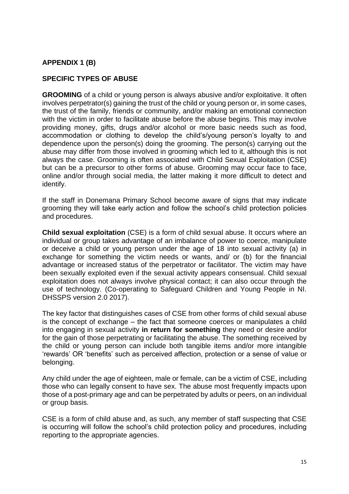#### **APPENDIX 1 (B)**

#### **SPECIFIC TYPES OF ABUSE**

**GROOMING** of a child or young person is always abusive and/or exploitative. It often involves perpetrator(s) gaining the trust of the child or young person or, in some cases, the trust of the family, friends or community, and/or making an emotional connection with the victim in order to facilitate abuse before the abuse begins. This may involve providing money, gifts, drugs and/or alcohol or more basic needs such as food, accommodation or clothing to develop the child's/young person's loyalty to and dependence upon the person(s) doing the grooming. The person(s) carrying out the abuse may differ from those involved in grooming which led to it, although this is not always the case. Grooming is often associated with Child Sexual Exploitation (CSE) but can be a precursor to other forms of abuse. Grooming may occur face to face, online and/or through social media, the latter making it more difficult to detect and identify.

If the staff in Donemana Primary School become aware of signs that may indicate grooming they will take early action and follow the school's child protection policies and procedures.

**Child sexual exploitation** (CSE) is a form of child sexual abuse. It occurs where an individual or group takes advantage of an imbalance of power to coerce, manipulate or deceive a child or young person under the age of 18 into sexual activity (a) in exchange for something the victim needs or wants, and/ or (b) for the financial advantage or increased status of the perpetrator or facilitator. The victim may have been sexually exploited even if the sexual activity appears consensual. Child sexual exploitation does not always involve physical contact; it can also occur through the use of technology. (Co-operating to Safeguard Children and Young People in NI. DHSSPS version 2.0 2017).

The key factor that distinguishes cases of CSE from other forms of child sexual abuse is the concept of exchange – the fact that someone coerces or manipulates a child into engaging in sexual activity **in return for something** they need or desire and/or for the gain of those perpetrating or facilitating the abuse. The something received by the child or young person can include both tangible items and/or more intangible 'rewards' OR 'benefits' such as perceived affection, protection or a sense of value or belonging.

Any child under the age of eighteen, male or female, can be a victim of CSE, including those who can legally consent to have sex. The abuse most frequently impacts upon those of a post-primary age and can be perpetrated by adults or peers, on an individual or group basis.

CSE is a form of child abuse and, as such, any member of staff suspecting that CSE is occurring will follow the school's child protection policy and procedures, including reporting to the appropriate agencies.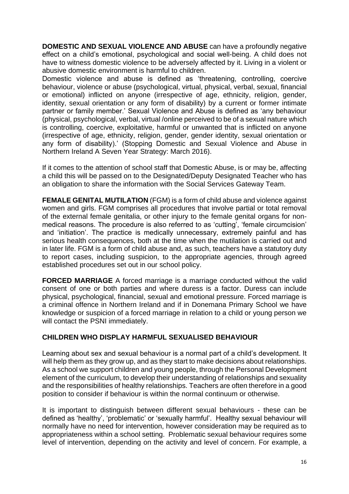**DOMESTIC AND SEXUAL VIOLENCE AND ABUSE** can have a profoundly negative effect on a child's emotional, psychological and social well-being. A child does not have to witness domestic violence to be adversely affected by it. Living in a violent or abusive domestic environment is harmful to children.

Domestic violence and abuse is defined as 'threatening, controlling, coercive behaviour, violence or abuse (psychological, virtual, physical, verbal, sexual, financial or emotional) inflicted on anyone (irrespective of age, ethnicity, religion, gender, identity, sexual orientation or any form of disability) by a current or former intimate partner or family member.' Sexual Violence and Abuse is defined as 'any behaviour (physical, psychological, verbal, virtual /online perceived to be of a sexual nature which is controlling, coercive, exploitative, harmful or unwanted that is inflicted on anyone (irrespective of age, ethnicity, religion, gender, gender identity, sexual orientation or any form of disability).' (Stopping Domestic and Sexual Violence and Abuse in Northern Ireland A Seven Year Strategy: March 2016).

If it comes to the attention of school staff that Domestic Abuse, is or may be, affecting a child this will be passed on to the Designated/Deputy Designated Teacher who has an obligation to share the information with the Social Services Gateway Team.

**FEMALE GENITAL MUTILATION** (FGM) is a form of child abuse and violence against women and girls. FGM comprises all procedures that involve partial or total removal of the external female genitalia, or other injury to the female genital organs for nonmedical reasons. The procedure is also referred to as 'cutting', 'female circumcision' and 'initiation'. The practice is medically unnecessary, extremely painful and has serious health consequences, both at the time when the mutilation is carried out and in later life. FGM is a form of child abuse and, as such, teachers have a statutory duty to report cases, including suspicion, to the appropriate agencies, through agreed established procedures set out in our school policy.

**FORCED MARRIAGE** A forced marriage is a marriage conducted without the valid consent of one or both parties and where duress is a factor. Duress can include physical, psychological, financial, sexual and emotional pressure. Forced marriage is a criminal offence in Northern Ireland and if in Donemana Primary School we have knowledge or suspicion of a forced marriage in relation to a child or young person we will contact the PSNI immediately.

#### **CHILDREN WHO DISPLAY HARMFUL SEXUALISED BEHAVIOUR**

Learning about sex and sexual behaviour is a normal part of a child's development. It will help them as they grow up, and as they start to make decisions about relationships. As a school we support children and young people, through the Personal Development element of the curriculum, to develop their understanding of relationships and sexuality and the responsibilities of healthy relationships. Teachers are often therefore in a good position to consider if behaviour is within the normal continuum or otherwise.

It is important to distinguish between different sexual behaviours - these can be defined as 'healthy', 'problematic' or 'sexually harmful'. Healthy sexual behaviour will normally have no need for intervention, however consideration may be required as to appropriateness within a school setting. Problematic sexual behaviour requires some level of intervention, depending on the activity and level of concern. For example, a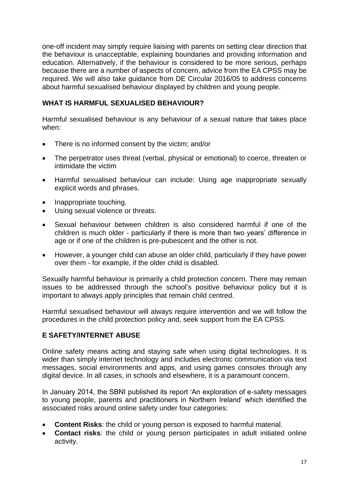one-off incident may simply require liaising with parents on setting clear direction that the behaviour is unacceptable, explaining boundaries and providing information and education. Alternatively, if the behaviour is considered to be more serious, perhaps because there are a number of aspects of concern, advice from the EA CPSS may be required. We will also take guidance from DE Circular 2016/05 to address concerns about harmful sexualised behaviour displayed by children and young people.

#### **WHAT IS HARMFUL SEXUALISED BEHAVIOUR?**

Harmful sexualised behaviour is any behaviour of a sexual nature that takes place when:

- There is no informed consent by the victim; and/or
- The perpetrator uses threat (verbal, physical or emotional) to coerce, threaten or intimidate the victim
- Harmful sexualised behaviour can include: Using age inappropriate sexually explicit words and phrases.
- Inappropriate touching.
- Using sexual violence or threats.
- Sexual behaviour between children is also considered harmful if one of the children is much older - particularly if there is more than two years' difference in age or if one of the children is pre-pubescent and the other is not.
- However, a younger child can abuse an older child, particularly if they have power over them - for example, if the older child is disabled.

Sexually harmful behaviour is primarily a child protection concern. There may remain issues to be addressed through the school's positive behaviour policy but it is important to always apply principles that remain child centred.

Harmful sexualised behaviour will always require intervention and we will follow the procedures in the child protection policy and, seek support from the EA CPSS.

#### **E SAFETY/INTERNET ABUSE**

Online safety means acting and staying safe when using digital technologies. It is wider than simply internet technology and includes electronic communication via text messages, social environments and apps, and using games consoles through any digital device. In all cases, in schools and elsewhere, it is a paramount concern.

In January 2014, the SBNI published its report 'An exploration of e-safety messages to young people, parents and practitioners in Northern Ireland' which identified the associated risks around online safety under four categories:

- **Content Risks**: the child or young person is exposed to harmful material.
- **Contact risks**: the child or young person participates in adult initiated online activity.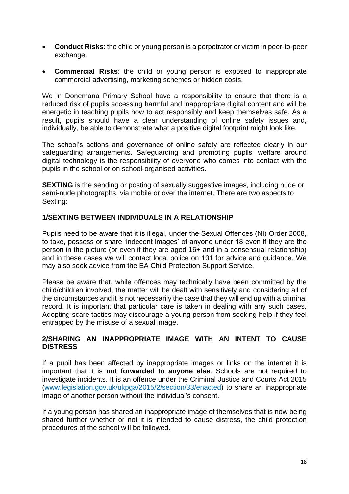- **Conduct Risks**: the child or young person is a perpetrator or victim in peer-to-peer exchange.
- **Commercial Risks**: the child or young person is exposed to inappropriate commercial advertising, marketing schemes or hidden costs.

We in Donemana Primary School have a responsibility to ensure that there is a reduced risk of pupils accessing harmful and inappropriate digital content and will be energetic in teaching pupils how to act responsibly and keep themselves safe. As a result, pupils should have a clear understanding of online safety issues and, individually, be able to demonstrate what a positive digital footprint might look like.

The school's actions and governance of online safety are reflected clearly in our safeguarding arrangements. Safeguarding and promoting pupils' welfare around digital technology is the responsibility of everyone who comes into contact with the pupils in the school or on school-organised activities.

**SEXTING** is the sending or posting of sexually suggestive images, including nude or semi-nude photographs, via mobile or over the internet. There are two aspects to Sexting:

#### **1/SEXTING BETWEEN INDIVIDUALS IN A RELATIONSHIP**

Pupils need to be aware that it is illegal, under the Sexual Offences (NI) Order 2008, to take, possess or share 'indecent images' of anyone under 18 even if they are the person in the picture (or even if they are aged 16+ and in a consensual relationship) and in these cases we will contact local police on 101 for advice and guidance. We may also seek advice from the EA Child Protection Support Service.

Please be aware that, while offences may technically have been committed by the child/children involved, the matter will be dealt with sensitively and considering all of the circumstances and it is not necessarily the case that they will end up with a criminal record. It is important that particular care is taken in dealing with any such cases. Adopting scare tactics may discourage a young person from seeking help if they feel entrapped by the misuse of a sexual image.

#### **2/SHARING AN INAPPROPRIATE IMAGE WITH AN INTENT TO CAUSE DISTRESS**

If a pupil has been affected by inappropriate images or links on the internet it is important that it is **not forwarded to anyone else**. Schools are not required to investigate incidents. It is an offence under the Criminal Justice and Courts Act 2015 (www.legislation.gov.uk/ukpga/2015/2/section/33/enacted) to share an inappropriate image of another person without the individual's consent.

If a young person has shared an inappropriate image of themselves that is now being shared further whether or not it is intended to cause distress, the child protection procedures of the school will be followed.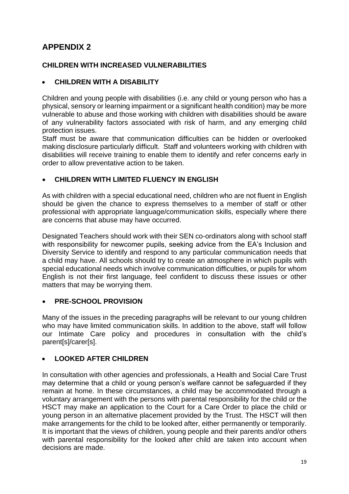# <span id="page-18-0"></span>**APPENDIX 2**

## **CHILDREN WITH INCREASED VULNERABILITIES**

## **CHILDREN WITH A DISABILITY**

Children and young people with disabilities (i.e. any child or young person who has a physical, sensory or learning impairment or a significant health condition) may be more vulnerable to abuse and those working with children with disabilities should be aware of any vulnerability factors associated with risk of harm, and any emerging child protection issues.

Staff must be aware that communication difficulties can be hidden or overlooked making disclosure particularly difficult. Staff and volunteers working with children with disabilities will receive training to enable them to identify and refer concerns early in order to allow preventative action to be taken.

#### **CHILDREN WITH LIMITED FLUENCY IN ENGLISH**

As with children with a special educational need, children who are not fluent in English should be given the chance to express themselves to a member of staff or other professional with appropriate language/communication skills, especially where there are concerns that abuse may have occurred.

Designated Teachers should work with their SEN co-ordinators along with school staff with responsibility for newcomer pupils, seeking advice from the EA's Inclusion and Diversity Service to identify and respond to any particular communication needs that a child may have. All schools should try to create an atmosphere in which pupils with special educational needs which involve communication difficulties, or pupils for whom English is not their first language, feel confident to discuss these issues or other matters that may be worrying them.

#### **PRE-SCHOOL PROVISION**

Many of the issues in the preceding paragraphs will be relevant to our young children who may have limited communication skills. In addition to the above, staff will follow our Intimate Care policy and procedures in consultation with the child's parent[s]/carer[s].

#### **LOOKED AFTER CHILDREN**

In consultation with other agencies and professionals, a Health and Social Care Trust may determine that a child or young person's welfare cannot be safeguarded if they remain at home. In these circumstances, a child may be accommodated through a voluntary arrangement with the persons with parental responsibility for the child or the HSCT may make an application to the Court for a Care Order to place the child or young person in an alternative placement provided by the Trust. The HSCT will then make arrangements for the child to be looked after, either permanently or temporarily. It is important that the views of children, young people and their parents and/or others with parental responsibility for the looked after child are taken into account when decisions are made.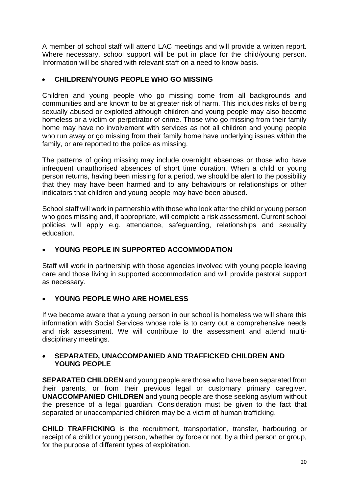A member of school staff will attend LAC meetings and will provide a written report. Where necessary, school support will be put in place for the child/young person. Information will be shared with relevant staff on a need to know basis.

## **CHILDREN/YOUNG PEOPLE WHO GO MISSING**

Children and young people who go missing come from all backgrounds and communities and are known to be at greater risk of harm. This includes risks of being sexually abused or exploited although children and young people may also become homeless or a victim or perpetrator of crime. Those who go missing from their family home may have no involvement with services as not all children and young people who run away or go missing from their family home have underlying issues within the family, or are reported to the police as missing.

The patterns of going missing may include overnight absences or those who have infrequent unauthorised absences of short time duration. When a child or young person returns, having been missing for a period, we should be alert to the possibility that they may have been harmed and to any behaviours or relationships or other indicators that children and young people may have been abused.

School staff will work in partnership with those who look after the child or young person who goes missing and, if appropriate, will complete a risk assessment. Current school policies will apply e.g. attendance, safeguarding, relationships and sexuality education.

# **YOUNG PEOPLE IN SUPPORTED ACCOMMODATION**

Staff will work in partnership with those agencies involved with young people leaving care and those living in supported accommodation and will provide pastoral support as necessary.

#### **YOUNG PEOPLE WHO ARE HOMELESS**

If we become aware that a young person in our school is homeless we will share this information with Social Services whose role is to carry out a comprehensive needs and risk assessment. We will contribute to the assessment and attend multidisciplinary meetings.

#### **SEPARATED, UNACCOMPANIED AND TRAFFICKED CHILDREN AND YOUNG PEOPLE**

**SEPARATED CHILDREN** and young people are those who have been separated from their parents, or from their previous legal or customary primary caregiver. **UNACCOMPANIED CHILDREN** and young people are those seeking asylum without the presence of a legal guardian. Consideration must be given to the fact that separated or unaccompanied children may be a victim of human trafficking.

**CHILD TRAFFICKING** is the recruitment, transportation, transfer, harbouring or receipt of a child or young person, whether by force or not, by a third person or group, for the purpose of different types of exploitation.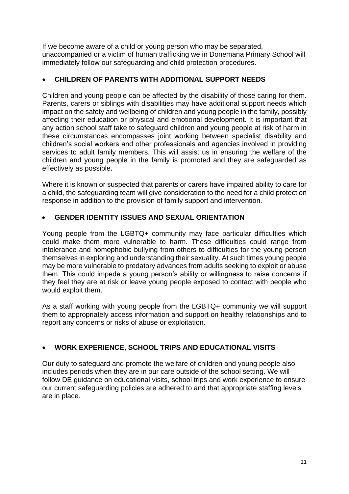If we become aware of a child or young person who may be separated, unaccompanied or a victim of human trafficking we in Donemana Primary School will immediately follow our safeguarding and child protection procedures.

## **CHILDREN OF PARENTS WITH ADDITIONAL SUPPORT NEEDS**

Children and young people can be affected by the disability of those caring for them. Parents, carers or siblings with disabilities may have additional support needs which impact on the safety and wellbeing of children and young people in the family, possibly affecting their education or physical and emotional development. It is important that any action school staff take to safeguard children and young people at risk of harm in these circumstances encompasses joint working between specialist disability and children's social workers and other professionals and agencies involved in providing services to adult family members. This will assist us in ensuring the welfare of the children and young people in the family is promoted and they are safeguarded as effectively as possible.

Where it is known or suspected that parents or carers have impaired ability to care for a child, the safeguarding team will give consideration to the need for a child protection response in addition to the provision of family support and intervention.

#### **GENDER IDENTITY ISSUES AND SEXUAL ORIENTATION**

Young people from the LGBTQ+ community may face particular difficulties which could make them more vulnerable to harm. These difficulties could range from intolerance and homophobic bullying from others to difficulties for the young person themselves in exploring and understanding their sexuality. At such times young people may be more vulnerable to predatory advances from adults seeking to exploit or abuse them. This could impede a young person's ability or willingness to raise concerns if they feel they are at risk or leave young people exposed to contact with people who would exploit them.

As a staff working with young people from the LGBTQ+ community we will support them to appropriately access information and support on healthy relationships and to report any concerns or risks of abuse or exploitation.

# **WORK EXPERIENCE, SCHOOL TRIPS AND EDUCATIONAL VISITS**

Our duty to safeguard and promote the welfare of children and young people also includes periods when they are in our care outside of the school setting. We will follow DE guidance on educational visits, school trips and work experience to ensure our current safeguarding policies are adhered to and that appropriate staffing levels are in place.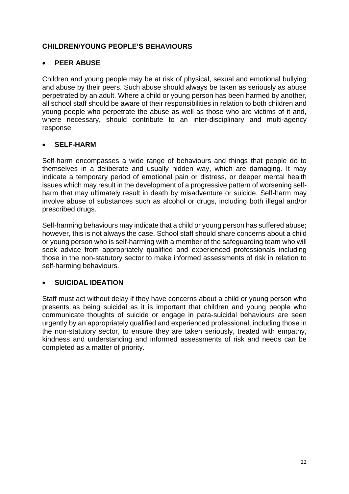## **CHILDREN/YOUNG PEOPLE'S BEHAVIOURS**

#### **PEER ABUSE**

Children and young people may be at risk of physical, sexual and emotional bullying and abuse by their peers. Such abuse should always be taken as seriously as abuse perpetrated by an adult. Where a child or young person has been harmed by another, all school staff should be aware of their responsibilities in relation to both children and young people who perpetrate the abuse as well as those who are victims of it and, where necessary, should contribute to an inter-disciplinary and multi-agency response.

#### **SELF-HARM**

Self-harm encompasses a wide range of behaviours and things that people do to themselves in a deliberate and usually hidden way, which are damaging. It may indicate a temporary period of emotional pain or distress, or deeper mental health issues which may result in the development of a progressive pattern of worsening selfharm that may ultimately result in death by misadventure or suicide. Self-harm may involve abuse of substances such as alcohol or drugs, including both illegal and/or prescribed drugs.

Self-harming behaviours may indicate that a child or young person has suffered abuse; however, this is not always the case. School staff should share concerns about a child or young person who is self-harming with a member of the safeguarding team who will seek advice from appropriately qualified and experienced professionals including those in the non-statutory sector to make informed assessments of risk in relation to self-harming behaviours.

#### **SUICIDAL IDEATION**

<span id="page-21-0"></span>Staff must act without delay if they have concerns about a child or young person who presents as being suicidal as it is important that children and young people who communicate thoughts of suicide or engage in para-suicidal behaviours are seen urgently by an appropriately qualified and experienced professional, including those in the non-statutory sector, to ensure they are taken seriously, treated with empathy, kindness and understanding and informed assessments of risk and needs can be completed as a matter of priority.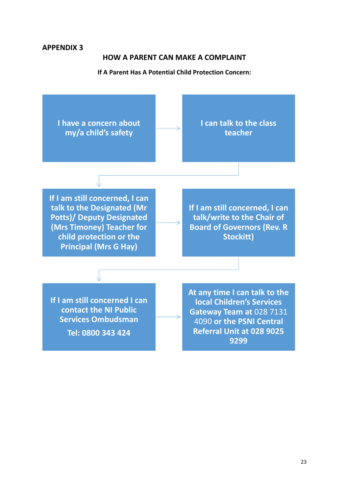#### **APPENDIX 3**

#### **HOW A PARENT CAN MAKE A COMPLAINT**

#### **If A Parent Has A Potential Child Protection Concern:**

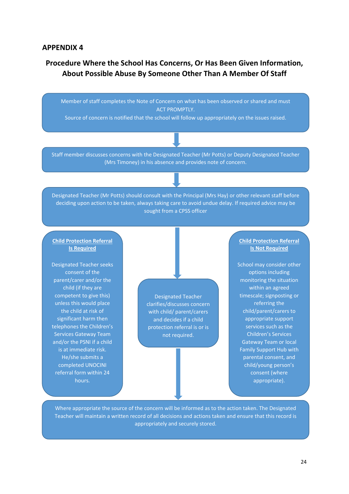#### <span id="page-23-0"></span>**APPENDIX 4**

# **Procedure Where the School Has Concerns, Or Has Been Given Information, About Possible Abuse By Someone Other Than A Member Of Staff**

Member of staff completes the Note of Concern on what has been observed or shared and must **ACT PROMPTIY.** 

Source of concern is notified that the school will follow up appropriately on the issues raised.

Staff member discusses concerns with the Designated Teacher (Mr Potts) or Deputy Designated Teacher (Mrs Timoney) in his absence and provides note of concern.

Designated Teacher (Mr Potts) should consult with the Principal (Mrs Hay) or other relevant staff before deciding upon action to be taken, always taking care to avoid undue delay. If required advice may be sought from a CPSS officer

#### **Child Protection Referral Is Required**

Designated Teacher seeks consent of the parent/carer and/or the child (if they are competent to give this) unless this would place the child at risk of significant harm then telephones the Children's Services Gateway Team and/or the PSNI if a child is at immediate risk. He/she submits a completed UNOCINI referral form within 24 hours.

Designated Teacher clarifies/discusses concern with child/ parent/carers and decides if a child protection referral is or is not required.

#### **Child Protection Referral Is Not Required**

School may consider other options including monitoring the situation within an agreed timescale; signposting or referring the child/parent/carers to appropriate support services such as the Children's Services Gateway Team or local Family Support Hub with parental consent, and child/young person's consent (where appropriate).

Where appropriate the source of the concern will be informed as to the action taken. The Designated Teacher will maintain a written record of all decisions and actions taken and ensure that this record is appropriately and securely stored.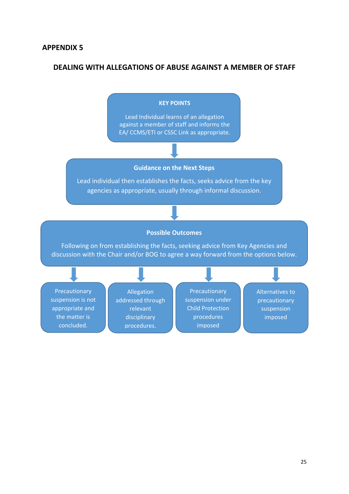## <span id="page-24-0"></span>**DEALING WITH ALLEGATIONS OF ABUSE AGAINST A MEMBER OF STAFF**

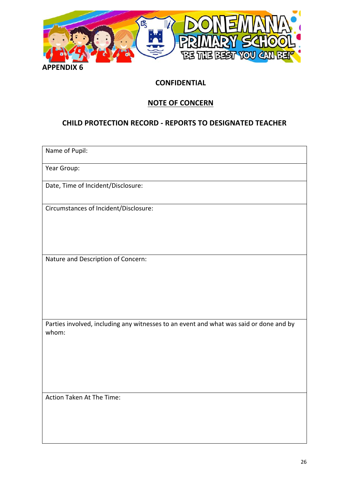

#### <span id="page-25-0"></span>**APPENDIX 6**

## **CONFIDENTIAL**

# **NOTE OF CONCERN**

# **CHILD PROTECTION RECORD - REPORTS TO DESIGNATED TEACHER**

Name of Pupil:

Year Group:

Date, Time of Incident/Disclosure:

Circumstances of Incident/Disclosure:

Nature and Description of Concern:

Parties involved, including any witnesses to an event and what was said or done and by whom:

Action Taken At The Time: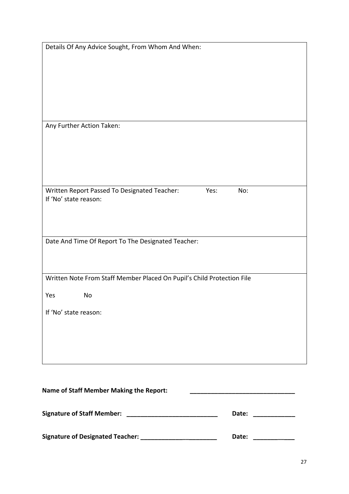| <b>Signature of Staff Member:</b>                                      | Date:       |
|------------------------------------------------------------------------|-------------|
| <b>Name of Staff Member Making the Report:</b>                         |             |
|                                                                        |             |
| If 'No' state reason:                                                  |             |
| No<br>Yes                                                              |             |
| Written Note From Staff Member Placed On Pupil's Child Protection File |             |
| Date And Time Of Report To The Designated Teacher:                     |             |
|                                                                        |             |
| Written Report Passed To Designated Teacher:<br>If 'No' state reason:  | Yes:<br>No: |
|                                                                        |             |
| Any Further Action Taken:                                              |             |
|                                                                        |             |
| Details Of Any Advice Sought, From Whom And When:                      |             |
|                                                                        |             |

| <b>Signature of Designated Teacher:</b><br>Date: |
|--------------------------------------------------|
|--------------------------------------------------|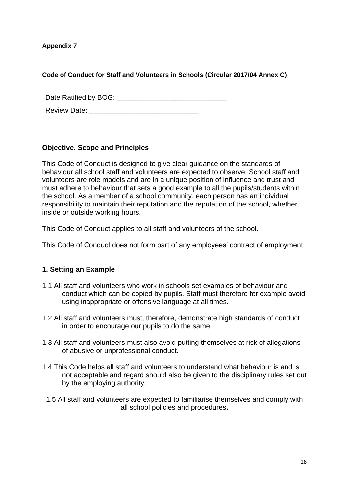**Appendix 7**

**Code of Conduct for Staff and Volunteers in Schools (Circular 2017/04 Annex C)**

Date Ratified by BOG: \_\_\_\_\_\_\_\_\_\_\_\_\_\_\_\_\_\_\_\_\_\_\_\_\_\_\_\_

Review Date: **Example 20** 

#### **Objective, Scope and Principles**

This Code of Conduct is designed to give clear guidance on the standards of behaviour all school staff and volunteers are expected to observe. School staff and volunteers are role models and are in a unique position of influence and trust and must adhere to behaviour that sets a good example to all the pupils/students within the school. As a member of a school community, each person has an individual responsibility to maintain their reputation and the reputation of the school, whether inside or outside working hours.

This Code of Conduct applies to all staff and volunteers of the school.

This Code of Conduct does not form part of any employees' contract of employment.

# **1. Setting an Example**

- 1.1 All staff and volunteers who work in schools set examples of behaviour and conduct which can be copied by pupils. Staff must therefore for example avoid using inappropriate or offensive language at all times.
- 1.2 All staff and volunteers must, therefore, demonstrate high standards of conduct in order to encourage our pupils to do the same.
- 1.3 All staff and volunteers must also avoid putting themselves at risk of allegations of abusive or unprofessional conduct.
- 1.4 This Code helps all staff and volunteers to understand what behaviour is and is not acceptable and regard should also be given to the disciplinary rules set out by the employing authority.
- 1.5 All staff and volunteers are expected to familiarise themselves and comply with all school policies and procedures**.**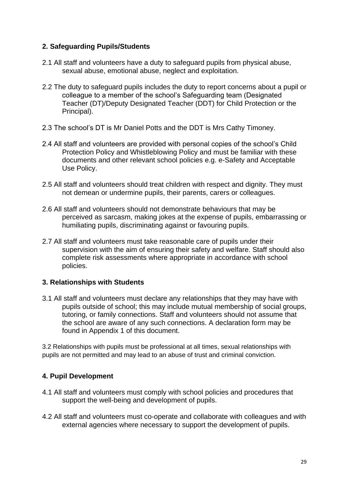#### **2. Safeguarding Pupils/Students**

- 2.1 All staff and volunteers have a duty to safeguard pupils from physical abuse, sexual abuse, emotional abuse, neglect and exploitation.
- 2.2 The duty to safeguard pupils includes the duty to report concerns about a pupil or colleague to a member of the school's Safeguarding team (Designated Teacher (DT)/Deputy Designated Teacher (DDT) for Child Protection or the Principal).
- 2.3 The school's DT is Mr Daniel Potts and the DDT is Mrs Cathy Timoney.
- 2.4 All staff and volunteers are provided with personal copies of the school's Child Protection Policy and Whistleblowing Policy and must be familiar with these documents and other relevant school policies e.g. e-Safety and Acceptable Use Policy.
- 2.5 All staff and volunteers should treat children with respect and dignity. They must not demean or undermine pupils, their parents, carers or colleagues.
- 2.6 All staff and volunteers should not demonstrate behaviours that may be perceived as sarcasm, making jokes at the expense of pupils, embarrassing or humiliating pupils, discriminating against or favouring pupils.
- 2.7 All staff and volunteers must take reasonable care of pupils under their supervision with the aim of ensuring their safety and welfare. Staff should also complete risk assessments where appropriate in accordance with school policies.

#### **3. Relationships with Students**

3.1 All staff and volunteers must declare any relationships that they may have with pupils outside of school; this may include mutual membership of social groups, tutoring, or family connections. Staff and volunteers should not assume that the school are aware of any such connections. A declaration form may be found in Appendix 1 of this document.

3.2 Relationships with pupils must be professional at all times, sexual relationships with pupils are not permitted and may lead to an abuse of trust and criminal conviction.

#### **4. Pupil Development**

- 4.1 All staff and volunteers must comply with school policies and procedures that support the well-being and development of pupils.
- 4.2 All staff and volunteers must co-operate and collaborate with colleagues and with external agencies where necessary to support the development of pupils.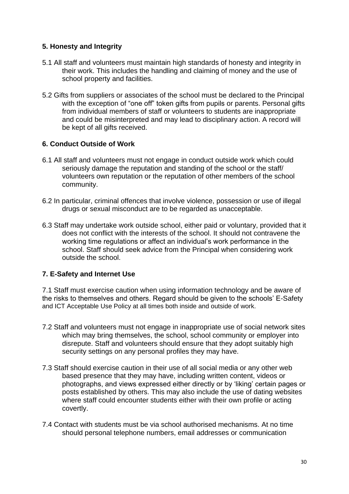### **5. Honesty and Integrity**

- 5.1 All staff and volunteers must maintain high standards of honesty and integrity in their work. This includes the handling and claiming of money and the use of school property and facilities.
- 5.2 Gifts from suppliers or associates of the school must be declared to the Principal with the exception of "one off" token gifts from pupils or parents. Personal gifts from individual members of staff or volunteers to students are inappropriate and could be misinterpreted and may lead to disciplinary action. A record will be kept of all gifts received.

#### **6. Conduct Outside of Work**

- 6.1 All staff and volunteers must not engage in conduct outside work which could seriously damage the reputation and standing of the school or the staff/ volunteers own reputation or the reputation of other members of the school community.
- 6.2 In particular, criminal offences that involve violence, possession or use of illegal drugs or sexual misconduct are to be regarded as unacceptable.
- 6.3 Staff may undertake work outside school, either paid or voluntary, provided that it does not conflict with the interests of the school. It should not contravene the working time regulations or affect an individual's work performance in the school. Staff should seek advice from the Principal when considering work outside the school.

#### **7. E-Safety and Internet Use**

7.1 Staff must exercise caution when using information technology and be aware of the risks to themselves and others. Regard should be given to the schools' E-Safety and ICT Acceptable Use Policy at all times both inside and outside of work.

- 7.2 Staff and volunteers must not engage in inappropriate use of social network sites which may bring themselves, the school, school community or employer into disrepute. Staff and volunteers should ensure that they adopt suitably high security settings on any personal profiles they may have.
- 7.3 Staff should exercise caution in their use of all social media or any other web based presence that they may have, including written content, videos or photographs, and views expressed either directly or by 'liking' certain pages or posts established by others. This may also include the use of dating websites where staff could encounter students either with their own profile or acting covertly.
- 7.4 Contact with students must be via school authorised mechanisms. At no time should personal telephone numbers, email addresses or communication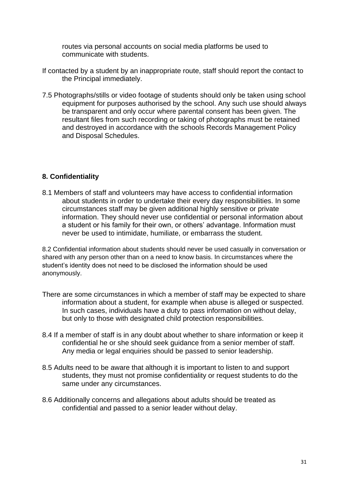routes via personal accounts on social media platforms be used to communicate with students.

- If contacted by a student by an inappropriate route, staff should report the contact to the Principal immediately.
- 7.5 Photographs/stills or video footage of students should only be taken using school equipment for purposes authorised by the school. Any such use should always be transparent and only occur where parental consent has been given. The resultant files from such recording or taking of photographs must be retained and destroyed in accordance with the schools Records Management Policy and Disposal Schedules.

#### **8. Confidentiality**

8.1 Members of staff and volunteers may have access to confidential information about students in order to undertake their every day responsibilities. In some circumstances staff may be given additional highly sensitive or private information. They should never use confidential or personal information about a student or his family for their own, or others' advantage. Information must never be used to intimidate, humiliate, or embarrass the student.

8.2 Confidential information about students should never be used casually in conversation or shared with any person other than on a need to know basis. In circumstances where the student's identity does not need to be disclosed the information should be used anonymously.

- There are some circumstances in which a member of staff may be expected to share information about a student, for example when abuse is alleged or suspected. In such cases, individuals have a duty to pass information on without delay, but only to those with designated child protection responsibilities.
- 8.4 If a member of staff is in any doubt about whether to share information or keep it confidential he or she should seek guidance from a senior member of staff. Any media or legal enquiries should be passed to senior leadership.
- 8.5 Adults need to be aware that although it is important to listen to and support students, they must not promise confidentiality or request students to do the same under any circumstances.
- 8.6 Additionally concerns and allegations about adults should be treated as confidential and passed to a senior leader without delay.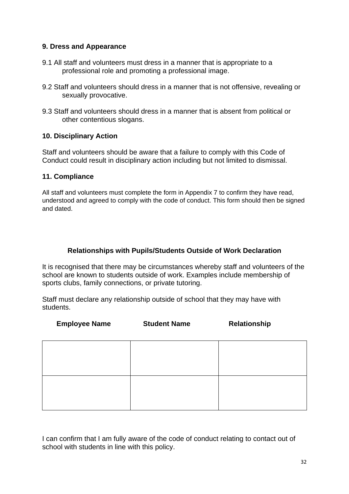#### **9. Dress and Appearance**

- 9.1 All staff and volunteers must dress in a manner that is appropriate to a professional role and promoting a professional image.
- 9.2 Staff and volunteers should dress in a manner that is not offensive, revealing or sexually provocative.
- 9.3 Staff and volunteers should dress in a manner that is absent from political or other contentious slogans.

#### **10. Disciplinary Action**

Staff and volunteers should be aware that a failure to comply with this Code of Conduct could result in disciplinary action including but not limited to dismissal.

#### **11. Compliance**

All staff and volunteers must complete the form in Appendix 7 to confirm they have read, understood and agreed to comply with the code of conduct. This form should then be signed and dated.

#### **Relationships with Pupils/Students Outside of Work Declaration**

It is recognised that there may be circumstances whereby staff and volunteers of the school are known to students outside of work. Examples include membership of sports clubs, family connections, or private tutoring.

Staff must declare any relationship outside of school that they may have with students.

| <b>Employee Name</b> | <b>Student Name</b> | Relationship |
|----------------------|---------------------|--------------|
|                      |                     |              |
|                      |                     |              |

I can confirm that I am fully aware of the code of conduct relating to contact out of school with students in line with this policy.